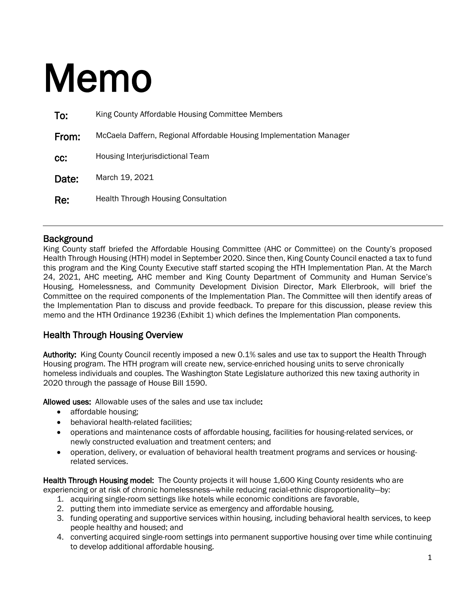# Memo

| To:   | King County Affordable Housing Committee Members                    |  |
|-------|---------------------------------------------------------------------|--|
| From: | McCaela Daffern, Regional Affordable Housing Implementation Manager |  |
| CC:   | Housing Interjurisdictional Team                                    |  |
| Date: | March 19, 2021                                                      |  |
| Re:   | <b>Health Through Housing Consultation</b>                          |  |

## **Background**

King County staff briefed the Affordable Housing Committee (AHC or Committee) on the County's proposed Health Through Housing (HTH) model in September 2020. Since then, King County Council enacted a tax to fund this program and the King County Executive staff started scoping the HTH Implementation Plan. At the March 24, 2021, AHC meeting, AHC member and King County Department of Community and Human Service's Housing, Homelessness, and Community Development Division Director, Mark Ellerbrook, will brief the Committee on the required components of the Implementation Plan. The Committee will then identify areas of the Implementation Plan to discuss and provide feedback. To prepare for this discussion, please review this memo and the HTH Ordinance 19236 (Exhibit 1) which defines the Implementation Plan components.

# Health Through Housing Overview

Authority: King County Council recently imposed a new 0.1% sales and use tax to support the Health Through Housing program. The HTH program will create new, service-enriched housing units to serve chronically homeless individuals and couples. The Washington State Legislature authorized this new taxing authority in 2020 through the passage of House Bill 1590.

Allowed uses: Allowable uses of the sales and use tax include:

- affordable housing:
- behavioral health-related facilities;
- operations and maintenance costs of affordable housing, facilities for housing-related services, or newly constructed evaluation and treatment centers; and
- operation, delivery, or evaluation of behavioral health treatment programs and services or housingrelated services.

Health Through Housing model: The County projects it will house 1,600 King County residents who are experiencing or at risk of chronic homelessness—while reducing racial-ethnic disproportionality—by:

- 1. acquiring single-room settings like hotels while economic conditions are favorable,
- 2. putting them into immediate service as emergency and affordable housing,
- 3. funding operating and supportive services within housing, including behavioral health services, to keep people healthy and housed; and
- 4. converting acquired single-room settings into permanent supportive housing over time while continuing to develop additional affordable housing.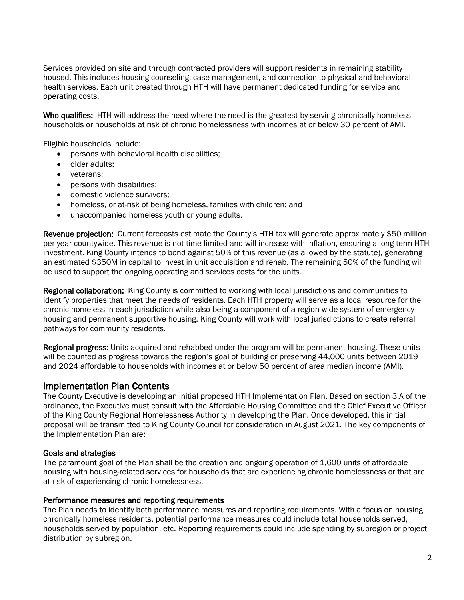Services provided on site and through contracted providers will support residents in remaining stability housed. This includes housing counseling, case management, and connection to physical and behavioral health services. Each unit created through HTH will have permanent dedicated funding for service and operating costs.

Who qualifies: HTH will address the need where the need is the greatest by serving chronically homeless households or households at risk of chronic homelessness with incomes at or below 30 percent of AMI.

Eligible households include:

- persons with behavioral health disabilities;
- older adults:
- veterans;
- persons with disabilities;
- domestic violence survivors;
- homeless, or at-risk of being homeless, families with children; and
- unaccompanied homeless youth or young adults.

Revenue projection: Current forecasts estimate the County's HTH tax will generate approximately \$50 million per year countywide. This revenue is not time-limited and will increase with inflation, ensuring a long-term HTH investment. King County intends to bond against 50% of this revenue (as allowed by the statute), generating an estimated \$350M in capital to invest in unit acquisition and rehab. The remaining 50% of the funding will be used to support the ongoing operating and services costs for the units.

Regional collaboration: King County is committed to working with local jurisdictions and communities to identify properties that meet the needs of residents. Each HTH property will serve as a local resource for the chronic homeless in each jurisdiction while also being a component of a region-wide system of emergency housing and permanent supportive housing. King County will work with local jurisdictions to create referral pathways for community residents.

Regional progress: Units acquired and rehabbed under the program will be permanent housing. These units will be counted as progress towards the region's goal of building or preserving 44,000 units between 2019 and 2024 affordable to households with incomes at or below 50 percent of area median income (AMI).

## Implementation Plan Contents

The County Executive is developing an initial proposed HTH Implementation Plan. Based on section 3.A of the ordinance, the Executive must consult with the Affordable Housing Committee and the Chief Executive Officer of the King County Regional Homelessness Authority in developing the Plan. Once developed, this initial proposal will be transmitted to King County Council for consideration in August 2021. The key components of the Implementation Plan are:

## Goals and strategies

The paramount goal of the Plan shall be the creation and ongoing operation of 1,600 units of affordable housing with housing-related services for households that are experiencing chronic homelessness or that are at risk of experiencing chronic homelessness.

## Performance measures and reporting requirements

The Plan needs to identify both performance measures and reporting requirements. With a focus on housing chronically homeless residents, potential performance measures could include total households served, households served by population, etc. Reporting requirements could include spending by subregion or project distribution by subregion.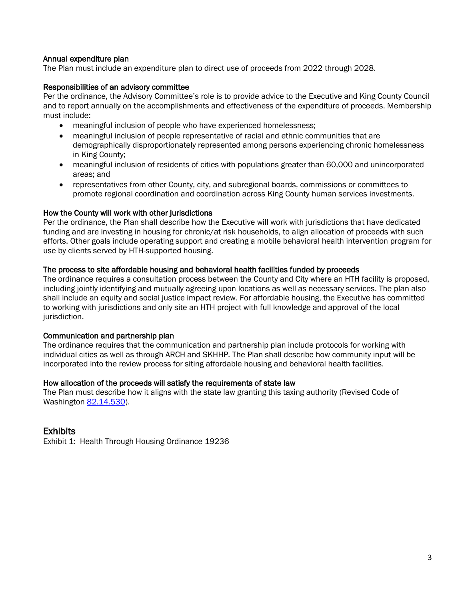## Annual expenditure plan

The Plan must include an expenditure plan to direct use of proceeds from 2022 through 2028.

## Responsibilities of an advisory committee

Per the ordinance, the Advisory Committee's role is to provide advice to the Executive and King County Council and to report annually on the accomplishments and effectiveness of the expenditure of proceeds. Membership must include:

- meaningful inclusion of people who have experienced homelessness;
- meaningful inclusion of people representative of racial and ethnic communities that are demographically disproportionately represented among persons experiencing chronic homelessness in King County;
- meaningful inclusion of residents of cities with populations greater than 60,000 and unincorporated areas; and
- representatives from other County, city, and subregional boards, commissions or committees to promote regional coordination and coordination across King County human services investments.

#### How the County will work with other jurisdictions

Per the ordinance, the Plan shall describe how the Executive will work with jurisdictions that have dedicated funding and are investing in housing for chronic/at risk households, to align allocation of proceeds with such efforts. Other goals include operating support and creating a mobile behavioral health intervention program for use by clients served by HTH-supported housing.

#### The process to site affordable housing and behavioral health facilities funded by proceeds

The ordinance requires a consultation process between the County and City where an HTH facility is proposed, including jointly identifying and mutually agreeing upon locations as well as necessary services. The plan also shall include an equity and social justice impact review. For affordable housing, the Executive has committed to working with jurisdictions and only site an HTH project with full knowledge and approval of the local jurisdiction.

#### Communication and partnership plan

The ordinance requires that the communication and partnership plan include protocols for working with individual cities as well as through ARCH and SKHHP. The Plan shall describe how community input will be incorporated into the review process for siting affordable housing and behavioral health facilities.

#### How allocation of the proceeds will satisfy the requirements of state law

The Plan must describe how it aligns with the state law granting this taxing authority (Revised Code of Washington [82.14.530\)](https://app.leg.wa.gov/rcw/default.aspx?cite=82.14.530).

## Exhibits

Exhibit 1: Health Through Housing Ordinance 19236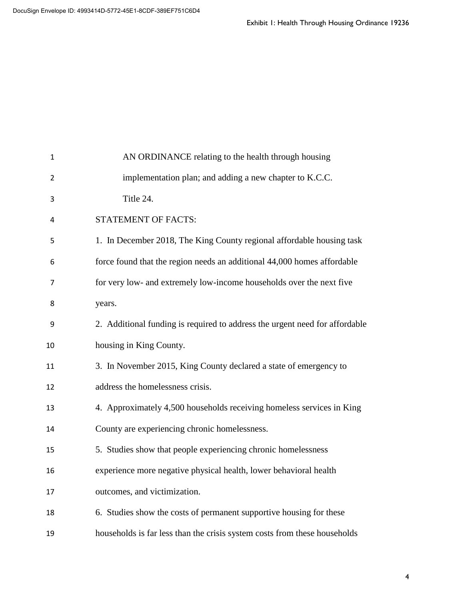|    | Exhibit I: Health Through Housing Ordinance 19236                           |  |
|----|-----------------------------------------------------------------------------|--|
|    |                                                                             |  |
|    |                                                                             |  |
|    |                                                                             |  |
|    |                                                                             |  |
|    |                                                                             |  |
| 1  | AN ORDINANCE relating to the health through housing                         |  |
| 2  | implementation plan; and adding a new chapter to K.C.C.                     |  |
| 3  | Title 24.                                                                   |  |
| 4  | STATEMENT OF FACTS:                                                         |  |
| 5  | 1. In December 2018, The King County regional affordable housing task       |  |
| 6  | force found that the region needs an additional 44,000 homes affordable     |  |
| 7  | for very low- and extremely low-income households over the next five        |  |
| 8  | years.                                                                      |  |
| 9  | 2. Additional funding is required to address the urgent need for affordable |  |
| 10 | housing in King County.                                                     |  |
| 11 | 3. In November 2015, King County declared a state of emergency to           |  |
| 12 | address the homelessness crisis.                                            |  |
| 13 | 4. Approximately 4,500 households receiving homeless services in King       |  |
| 14 | County are experiencing chronic homelessness.                               |  |
| 15 | 5. Studies show that people experiencing chronic homelessness               |  |
| 16 | experience more negative physical health, lower behavioral health           |  |
| 17 | outcomes, and victimization.                                                |  |
| 18 | 6. Studies show the costs of permanent supportive housing for these         |  |
| 19 | households is far less than the crisis system costs from these households   |  |
|    |                                                                             |  |
|    |                                                                             |  |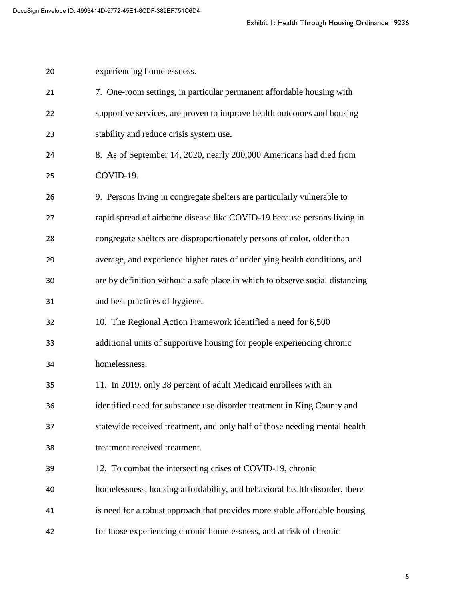|    | Exhibit I: Health Through Housing Ordinance 19236                            |   |
|----|------------------------------------------------------------------------------|---|
| 20 | experiencing homelessness.                                                   |   |
| 21 | 7. One-room settings, in particular permanent affordable housing with        |   |
| 22 | supportive services, are proven to improve health outcomes and housing       |   |
| 23 | stability and reduce crisis system use.                                      |   |
| 24 | 8. As of September 14, 2020, nearly 200,000 Americans had died from          |   |
| 25 | COVID-19.                                                                    |   |
| 26 | 9. Persons living in congregate shelters are particularly vulnerable to      |   |
| 27 | rapid spread of airborne disease like COVID-19 because persons living in     |   |
| 28 | congregate shelters are disproportionately persons of color, older than      |   |
| 29 | average, and experience higher rates of underlying health conditions, and    |   |
| 30 | are by definition without a safe place in which to observe social distancing |   |
| 31 | and best practices of hygiene.                                               |   |
| 32 | 10. The Regional Action Framework identified a need for 6,500                |   |
| 33 | additional units of supportive housing for people experiencing chronic       |   |
| 34 | homelessness.                                                                |   |
| 35 | 11. In 2019, only 38 percent of adult Medicaid enrollees with an             |   |
| 36 | identified need for substance use disorder treatment in King County and      |   |
| 37 | statewide received treatment, and only half of those needing mental health   |   |
| 38 | treatment received treatment.                                                |   |
| 39 | 12. To combat the intersecting crises of COVID-19, chronic                   |   |
| 40 | homelessness, housing affordability, and behavioral health disorder, there   |   |
| 41 | is need for a robust approach that provides more stable affordable housing   |   |
| 42 | for those experiencing chronic homelessness, and at risk of chronic          |   |
|    |                                                                              |   |
|    |                                                                              | 5 |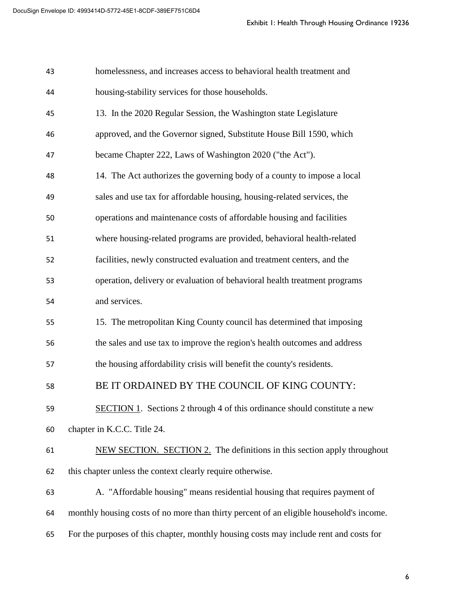|    | Exhibit I: Health Through Housing Ordinance 19236                                       |
|----|-----------------------------------------------------------------------------------------|
| 43 | homelessness, and increases access to behavioral health treatment and                   |
| 44 | housing-stability services for those households.                                        |
| 45 | 13. In the 2020 Regular Session, the Washington state Legislature                       |
| 46 | approved, and the Governor signed, Substitute House Bill 1590, which                    |
| 47 | became Chapter 222, Laws of Washington 2020 ("the Act").                                |
| 48 | 14. The Act authorizes the governing body of a county to impose a local                 |
| 49 | sales and use tax for affordable housing, housing-related services, the                 |
| 50 | operations and maintenance costs of affordable housing and facilities                   |
| 51 | where housing-related programs are provided, behavioral health-related                  |
| 52 | facilities, newly constructed evaluation and treatment centers, and the                 |
| 53 | operation, delivery or evaluation of behavioral health treatment programs               |
| 54 | and services.                                                                           |
| 55 | 15. The metropolitan King County council has determined that imposing                   |
| 56 | the sales and use tax to improve the region's health outcomes and address               |
| 57 | the housing affordability crisis will benefit the county's residents.                   |
| 58 | BE IT ORDAINED BY THE COUNCIL OF KING COUNTY:                                           |
| 59 | <b>SECTION 1.</b> Sections 2 through 4 of this ordinance should constitute a new        |
| 60 | chapter in K.C.C. Title 24.                                                             |
| 61 | NEW SECTION. SECTION 2. The definitions in this section apply throughout                |
| 62 | this chapter unless the context clearly require otherwise.                              |
| 63 | A. "Affordable housing" means residential housing that requires payment of              |
| 64 | monthly housing costs of no more than thirty percent of an eligible household's income. |
| 65 | For the purposes of this chapter, monthly housing costs may include rent and costs for  |
|    |                                                                                         |
|    | 6                                                                                       |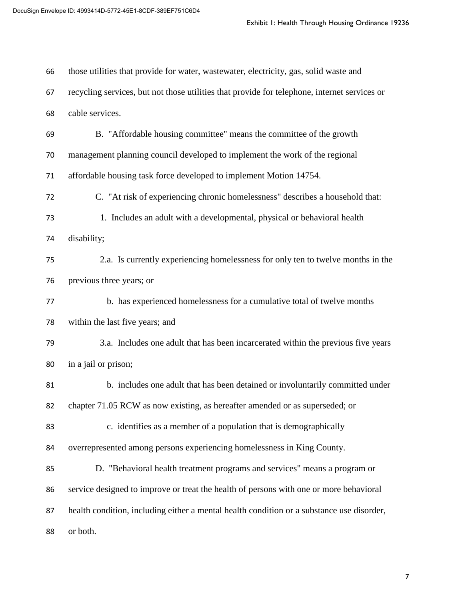|    | Exhibit I: Health Through Housing Ordinance 19236                                            |   |
|----|----------------------------------------------------------------------------------------------|---|
| 66 | those utilities that provide for water, wastewater, electricity, gas, solid waste and        |   |
| 67 | recycling services, but not those utilities that provide for telephone, internet services or |   |
| 68 | cable services.                                                                              |   |
| 69 | B. "Affordable housing committee" means the committee of the growth                          |   |
| 70 | management planning council developed to implement the work of the regional                  |   |
| 71 | affordable housing task force developed to implement Motion 14754.                           |   |
| 72 | C. "At risk of experiencing chronic homelessness" describes a household that:                |   |
| 73 | 1. Includes an adult with a developmental, physical or behavioral health                     |   |
| 74 | disability;                                                                                  |   |
| 75 | 2.a. Is currently experiencing homelessness for only ten to twelve months in the             |   |
| 76 | previous three years; or                                                                     |   |
| 77 | b. has experienced homelessness for a cumulative total of twelve months                      |   |
| 78 | within the last five years; and                                                              |   |
| 79 | 3.a. Includes one adult that has been incarcerated within the previous five years            |   |
| 80 | in a jail or prison;                                                                         |   |
| 81 | b. includes one adult that has been detained or involuntarily committed under                |   |
| 82 | chapter 71.05 RCW as now existing, as hereafter amended or as superseded; or                 |   |
| 83 | c. identifies as a member of a population that is demographically                            |   |
| 84 | overrepresented among persons experiencing homelessness in King County.                      |   |
| 85 | D. "Behavioral health treatment programs and services" means a program or                    |   |
| 86 | service designed to improve or treat the health of persons with one or more behavioral       |   |
| 87 | health condition, including either a mental health condition or a substance use disorder,    |   |
| 88 | or both.                                                                                     |   |
|    |                                                                                              |   |
|    |                                                                                              | 7 |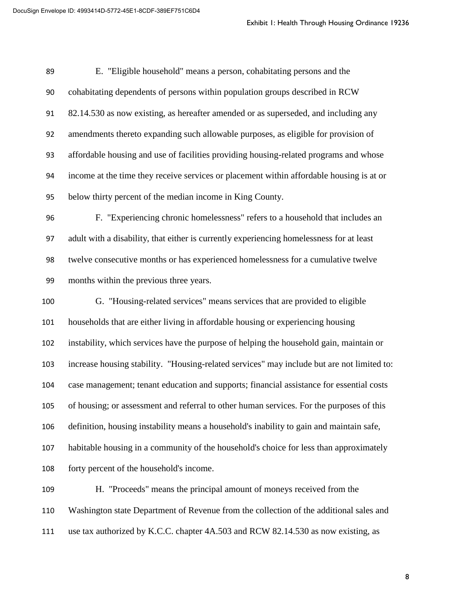|     | Exhibit I: Health Through Housing Ordinance 19236                                          |   |
|-----|--------------------------------------------------------------------------------------------|---|
|     |                                                                                            |   |
| 89  | E. "Eligible household" means a person, cohabitating persons and the                       |   |
| 90  | cohabitating dependents of persons within population groups described in RCW               |   |
| 91  | 82.14.530 as now existing, as hereafter amended or as superseded, and including any        |   |
| 92  | amendments thereto expanding such allowable purposes, as eligible for provision of         |   |
| 93  | affordable housing and use of facilities providing housing-related programs and whose      |   |
| 94  | income at the time they receive services or placement within affordable housing is at or   |   |
| 95  | below thirty percent of the median income in King County.                                  |   |
| 96  | F. "Experiencing chronic homelessness" refers to a household that includes an              |   |
| 97  | adult with a disability, that either is currently experiencing homelessness for at least   |   |
| 98  | twelve consecutive months or has experienced homelessness for a cumulative twelve          |   |
| 99  | months within the previous three years.                                                    |   |
| 100 | G. "Housing-related services" means services that are provided to eligible                 |   |
| 101 | households that are either living in affordable housing or experiencing housing            |   |
| 102 | instability, which services have the purpose of helping the household gain, maintain or    |   |
| 103 | increase housing stability. "Housing-related services" may include but are not limited to: |   |
| 104 | case management; tenant education and supports; financial assistance for essential costs   |   |
| 105 | of housing; or assessment and referral to other human services. For the purposes of this   |   |
| 106 | definition, housing instability means a household's inability to gain and maintain safe,   |   |
| 107 | habitable housing in a community of the household's choice for less than approximately     |   |
| 108 | forty percent of the household's income.                                                   |   |
| 109 | H. "Proceeds" means the principal amount of moneys received from the                       |   |
| 110 | Washington state Department of Revenue from the collection of the additional sales and     |   |
| 111 | use tax authorized by K.C.C. chapter 4A.503 and RCW 82.14.530 as now existing, as          |   |
|     |                                                                                            |   |
|     |                                                                                            | 8 |
|     |                                                                                            |   |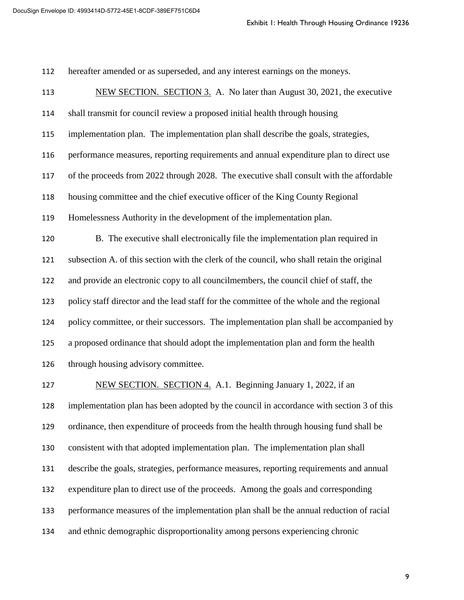hereafter amended or as superseded, and any interest earnings on the moneys.

 NEW SECTION. SECTION 3. A. No later than August 30, 2021, the executive shall transmit for council review a proposed initial health through housing implementation plan. The implementation plan shall describe the goals, strategies, performance measures, reporting requirements and annual expenditure plan to direct use of the proceeds from 2022 through 2028. The executive shall consult with the affordable housing committee and the chief executive officer of the King County Regional Homelessness Authority in the development of the implementation plan. B. The executive shall electronically file the implementation plan required in subsection A. of this section with the clerk of the council, who shall retain the original and provide an electronic copy to all councilmembers, the council chief of staff, the policy staff director and the lead staff for the committee of the whole and the regional policy committee, or their successors. The implementation plan shall be accompanied by a proposed ordinance that should adopt the implementation plan and form the health through housing advisory committee. Exhibit 1: Health Through Housing Ordinance 19236<br>rest earnings on the moneys.<br>ter than August 30, 2021, the executive<br>al health through housing<br>hall describe the goals, strategies,<br>d annual expenditure plan to direct use<br>

 NEW SECTION. SECTION 4. A.1. Beginning January 1, 2022, if an implementation plan has been adopted by the council in accordance with section 3 of this ordinance, then expenditure of proceeds from the health through housing fund shall be consistent with that adopted implementation plan. The implementation plan shall describe the goals, strategies, performance measures, reporting requirements and annual expenditure plan to direct use of the proceeds. Among the goals and corresponding performance measures of the implementation plan shall be the annual reduction of racial and ethnic demographic disproportionality among persons experiencing chronic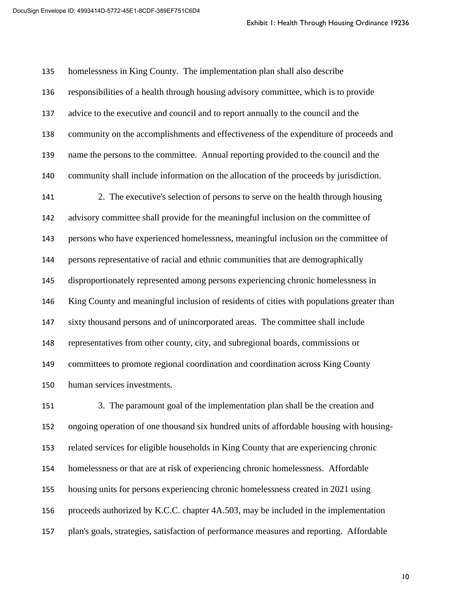homelessness in King County. The implementation plan shall also describe responsibilities of a health through housing advisory committee, which is to provide advice to the executive and council and to report annually to the council and the community on the accomplishments and effectiveness of the expenditure of proceeds and name the persons to the committee. Annual reporting provided to the council and the community shall include information on the allocation of the proceeds by jurisdiction. 2. The executive's selection of persons to serve on the health through housing advisory committee shall provide for the meaningful inclusion on the committee of persons who have experienced homelessness, meaningful inclusion on the committee of persons representative of racial and ethnic communities that are demographically disproportionately represented among persons experiencing chronic homelessness in King County and meaningful inclusion of residents of cities with populations greater than sixty thousand persons and of unincorporated areas. The committee shall include representatives from other county, city, and subregional boards, commissions or committees to promote regional coordination and coordination across King County human services investments. Exhibit 1: Health Through Housing Ordinance 19236<br>
on plan shall also describe<br>
ory committee, which is to provide<br>
amually to the council and the<br>
eness of the expenditure of proceeds and<br>
tring provided to the council an

 3. The paramount goal of the implementation plan shall be the creation and ongoing operation of one thousand six hundred units of affordable housing with housing- related services for eligible households in King County that are experiencing chronic homelessness or that are at risk of experiencing chronic homelessness. Affordable housing units for persons experiencing chronic homelessness created in 2021 using proceeds authorized by K.C.C. chapter 4A.503, may be included in the implementation plan's goals, strategies, satisfaction of performance measures and reporting. Affordable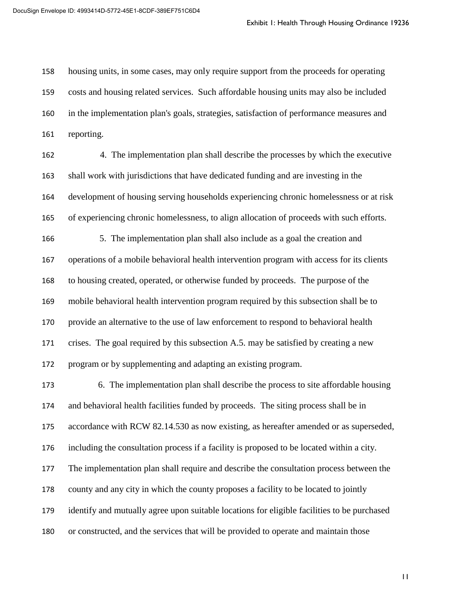housing units, in some cases, may only require support from the proceeds for operating costs and housing related services. Such affordable housing units may also be included in the implementation plan's goals, strategies, satisfaction of performance measures and reporting.

 4. The implementation plan shall describe the processes by which the executive shall work with jurisdictions that have dedicated funding and are investing in the development of housing serving households experiencing chronic homelessness or at risk of experiencing chronic homelessness, to align allocation of proceeds with such efforts. 5. The implementation plan shall also include as a goal the creation and operations of a mobile behavioral health intervention program with access for its clients to housing created, operated, or otherwise funded by proceeds. The purpose of the mobile behavioral health intervention program required by this subsection shall be to provide an alternative to the use of law enforcement to respond to behavioral health crises. The goal required by this subsection A.5. may be satisfied by creating a new program or by supplementing and adapting an existing program. Exhibit 1: Health Through Housing Ordinance 19236<br>upport from the proceeds for operating<br>ele housing units may also be included<br>isfaction of performance measures and<br>be the processes by which the executive<br>funding and are

 6. The implementation plan shall describe the process to site affordable housing and behavioral health facilities funded by proceeds. The siting process shall be in accordance with RCW 82.14.530 as now existing, as hereafter amended or as superseded, including the consultation process if a facility is proposed to be located within a city. The implementation plan shall require and describe the consultation process between the county and any city in which the county proposes a facility to be located to jointly identify and mutually agree upon suitable locations for eligible facilities to be purchased or constructed, and the services that will be provided to operate and maintain those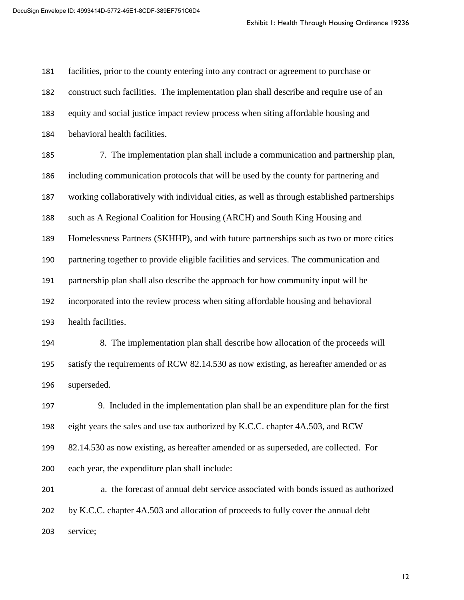facilities, prior to the county entering into any contract or agreement to purchase or construct such facilities. The implementation plan shall describe and require use of an equity and social justice impact review process when siting affordable housing and behavioral health facilities.

 7. The implementation plan shall include a communication and partnership plan, including communication protocols that will be used by the county for partnering and working collaboratively with individual cities, as well as through established partnerships such as A Regional Coalition for Housing (ARCH) and South King Housing and Homelessness Partners (SKHHP), and with future partnerships such as two or more cities partnering together to provide eligible facilities and services. The communication and partnership plan shall also describe the approach for how community input will be incorporated into the review process when siting affordable housing and behavioral health facilities. Exhibit 1: Health Through Housing Ordinance 19236<br>ntract or agreement to purchase or<br>n shall describe and require use of an<br>nhen siting affordable housing and<br>e a communication and partnership plan,<br>sed by the county for p

 8. The implementation plan shall describe how allocation of the proceeds will satisfy the requirements of RCW 82.14.530 as now existing, as hereafter amended or as superseded.

 9. Included in the implementation plan shall be an expenditure plan for the first eight years the sales and use tax authorized by K.C.C. chapter 4A.503, and RCW 82.14.530 as now existing, as hereafter amended or as superseded, are collected. For each year, the expenditure plan shall include:

 a. the forecast of annual debt service associated with bonds issued as authorized by K.C.C. chapter 4A.503 and allocation of proceeds to fully cover the annual debt service;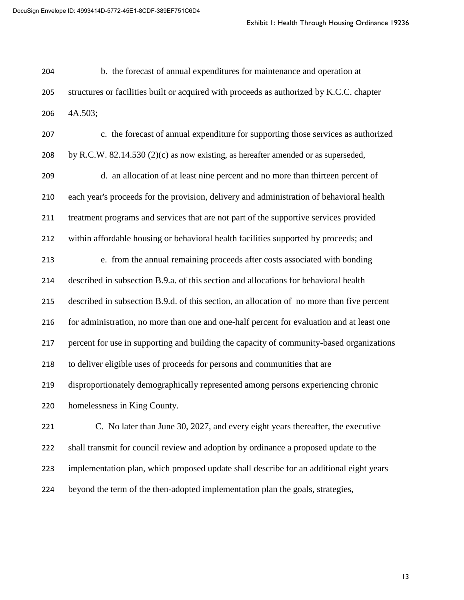b. the forecast of annual expenditures for maintenance and operation at structures or facilities built or acquired with proceeds as authorized by K.C.C. chapter 4A.503;

 c. the forecast of annual expenditure for supporting those services as authorized by R.C.W. 82.14.530 (2)(c) as now existing, as hereafter amended or as superseded, d. an allocation of at least nine percent and no more than thirteen percent of each year's proceeds for the provision, delivery and administration of behavioral health treatment programs and services that are not part of the supportive services provided within affordable housing or behavioral health facilities supported by proceeds; and e. from the annual remaining proceeds after costs associated with bonding described in subsection B.9.a. of this section and allocations for behavioral health described in subsection B.9.d. of this section, an allocation of no more than five percent 216 for administration, no more than one and one-half percent for evaluation and at least one percent for use in supporting and building the capacity of community-based organizations to deliver eligible uses of proceeds for persons and communities that are disproportionately demographically represented among persons experiencing chronic homelessness in King County. C. No later than June 30, 2027, and every eight years thereafter, the executive shall transmit for council review and adoption by ordinance a proposed update to the implementation plan, which proposed update shall describe for an additional eight years Exhibit 1: Health Through Housing Ordinance 19236<br>or maintenance and operation at<br>eeds as authorized by K.C.C. chapter<br>supporting those services as authorized<br>rafter amended or as superseded,<br>and no more than thirteen perc

beyond the term of the then-adopted implementation plan the goals, strategies,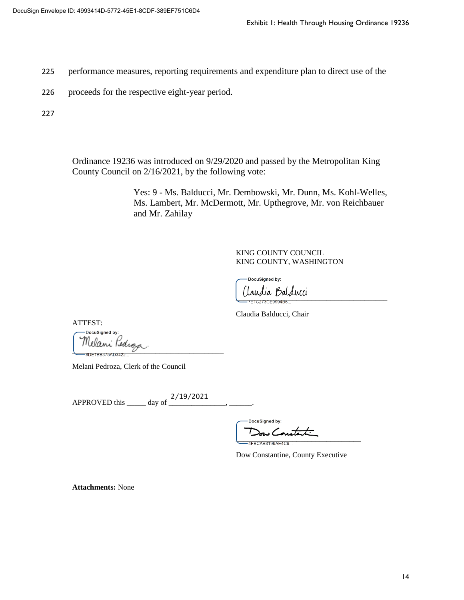- 225 performance measures, reporting requirements and expenditure plan to direct use of the
- 226 proceeds for the respective eight-year period.

227

Ordinance 19236 was introduced on 9/29/2020 and passed by the Metropolitan King County Council on 2/16/2021, by the following vote:

Yes: 9 - Ms. Balducci, Mr. Dembowski, Mr. Dunn, Ms. Kohl-Welles, Ms. Lambert, Mr. McDermott, Mr. Upthegrove, Mr. von Reichbauer and Mr. Zahilay Exhibit 1: Health Through Housing Ordinance 19236<br>
Id expenditure plan to direct use of the<br>
and passed by the Metropolitan King<br>
vote:<br>
mbowski, Mr. Dunn, Ms. Kohl-Welles,<br>
Mr. Upthegrove, Mr. von Reichbauer<br>
GO COUNTY, W

KING COUNTY COUNCIL KING COUNTY, WASHINGTON

Iaudia Balducci

Claudia Balducci, Chair

ATTEST:

DocuSigned by: Melani Pedroza<br>=================

Melani Pedroza, Clerk of the Council

APPROVED this \_\_\_\_\_\_ day of \_\_\_\_\_\_\_\_\_\_\_\_\_\_\_\_\_\_, \_\_\_\_\_\_\_.

\_\_\_\_\_\_\_\_\_\_\_\_\_\_\_\_\_\_\_\_\_\_\_\_\_\_\_\_\_\_\_\_\_

Dow Constantine, County Executive

**Attachments:** None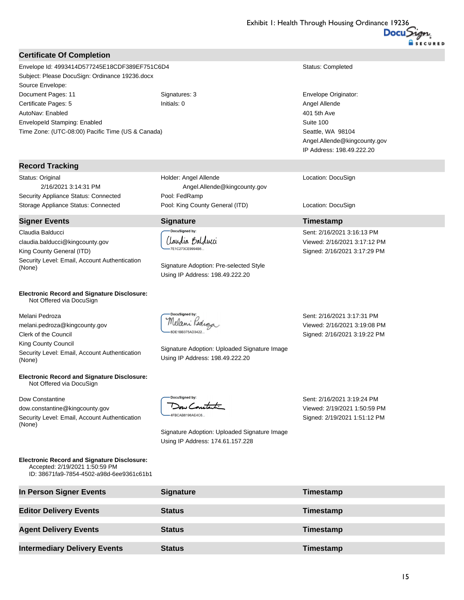#### **Certificate Of Completion**

#### **Record Tracking**

#### **Signer Events Signature Timestamp**

#### **Electronic Record and Signature Disclosure:**  Not Offered via DocuSign

#### **Electronic Record and Signature Disclosure:**  Not Offered via DocuSign

# **DocuSianed by:**

Claudia Balducci TE1C273CE9994B6.

-DocuSianed by: Dow Constant 4FBCAB8196AE4C6...

|                                                                                                                                  |                                                                                  | Exhibit I: Health Through Housing Ordinance 19236 |          |
|----------------------------------------------------------------------------------------------------------------------------------|----------------------------------------------------------------------------------|---------------------------------------------------|----------|
|                                                                                                                                  |                                                                                  |                                                   | Docusion |
| <b>Certificate Of Completion</b>                                                                                                 |                                                                                  |                                                   |          |
| Envelope Id: 4993414D577245E18CDF389EF751C6D4                                                                                    |                                                                                  | Status: Completed                                 |          |
| Subject: Please DocuSign: Ordinance 19236.docx                                                                                   |                                                                                  |                                                   |          |
| Source Envelope:                                                                                                                 |                                                                                  |                                                   |          |
| Document Pages: 11                                                                                                               | Signatures: 3                                                                    | Envelope Originator:                              |          |
| Certificate Pages: 5                                                                                                             | Initials: 0                                                                      | Angel Allende                                     |          |
| AutoNav: Enabled                                                                                                                 |                                                                                  | 401 5th Ave                                       |          |
| EnvelopeId Stamping: Enabled                                                                                                     |                                                                                  | Suite 100                                         |          |
| Time Zone: (UTC-08:00) Pacific Time (US & Canada)                                                                                |                                                                                  | Seattle, WA 98104                                 |          |
|                                                                                                                                  |                                                                                  | Angel.Allende@kingcounty.gov                      |          |
|                                                                                                                                  |                                                                                  | IP Address: 198.49.222.20                         |          |
| <b>Record Tracking</b>                                                                                                           |                                                                                  |                                                   |          |
| Status: Original                                                                                                                 | Holder: Angel Allende                                                            | Location: DocuSign                                |          |
| 2/16/2021 3:14:31 PM                                                                                                             | Angel.Allende@kingcounty.gov                                                     |                                                   |          |
| Security Appliance Status: Connected                                                                                             | Pool: FedRamp                                                                    |                                                   |          |
| Storage Appliance Status: Connected                                                                                              | Pool: King County General (ITD)                                                  | Location: DocuSign                                |          |
| <b>Signer Events</b>                                                                                                             | <b>Signature</b>                                                                 | Timestamp                                         |          |
| Claudia Balducci                                                                                                                 | DocuSigned by:                                                                   | Sent: 2/16/2021 3:16:13 PM                        |          |
| claudia.balducci@kingcounty.gov                                                                                                  | Iaudia Balducci                                                                  | Viewed: 2/16/2021 3:17:12 PM                      |          |
| King County General (ITD)                                                                                                        | 7E1C273CE9994B6.                                                                 | Signed: 2/16/2021 3:17:29 PM                      |          |
| Security Level: Email, Account Authentication                                                                                    |                                                                                  |                                                   |          |
| (None)                                                                                                                           | Signature Adoption: Pre-selected Style<br>Using IP Address: 198.49.222.20        |                                                   |          |
| <b>Electronic Record and Signature Disclosure:</b><br>Not Offered via DocuSign                                                   |                                                                                  |                                                   |          |
| Melani Pedroza                                                                                                                   | DocuSigned by:                                                                   | Sent: 2/16/2021 3:17:31 PM                        |          |
| melani.pedroza@kingcounty.gov                                                                                                    | Melani Kedroza                                                                   | Viewed: 2/16/2021 3:19:08 PM                      |          |
| Clerk of the Council                                                                                                             | DE1BB375AD3422                                                                   | Signed: 2/16/2021 3:19:22 PM                      |          |
| King County Council                                                                                                              |                                                                                  |                                                   |          |
| Security Level: Email, Account Authentication<br>(None)                                                                          | Signature Adoption: Uploaded Signature Image<br>Using IP Address: 198.49.222.20  |                                                   |          |
| <b>Electronic Record and Signature Disclosure:</b><br>Not Offered via DocuSign                                                   |                                                                                  |                                                   |          |
| Dow Constantine                                                                                                                  | DocuSigned by:                                                                   | Sent: 2/16/2021 3:19:24 PM                        |          |
| dow.constantine@kingcounty.gov                                                                                                   | $D_{\sigma\omega}$                                                               | Viewed: 2/19/2021 1:50:59 PM                      |          |
| Security Level: Email, Account Authentication                                                                                    | 4FBCAB8196AE4C6.                                                                 | Signed: 2/19/2021 1:51:12 PM                      |          |
| (None)                                                                                                                           |                                                                                  |                                                   |          |
|                                                                                                                                  | Signature Adoption: Uploaded Signature Image<br>Using IP Address: 174.61.157.228 |                                                   |          |
| <b>Electronic Record and Signature Disclosure:</b><br>Accepted: 2/19/2021 1:50:59 PM<br>ID: 38671fa9-7854-4502-a98d-6ee9361c61b1 |                                                                                  |                                                   |          |
| In Person Signer Events                                                                                                          | <b>Signature</b>                                                                 | Timestamp                                         |          |
| <b>Editor Delivery Events</b>                                                                                                    | <b>Status</b>                                                                    | Timestamp                                         |          |
| <b>Agent Delivery Events</b>                                                                                                     | <b>Status</b>                                                                    | Timestamp                                         |          |
| <b>Intermediary Delivery Events</b>                                                                                              | <b>Status</b>                                                                    | Timestamp                                         |          |
|                                                                                                                                  |                                                                                  |                                                   |          |
|                                                                                                                                  |                                                                                  |                                                   |          |
|                                                                                                                                  |                                                                                  |                                                   | 15       |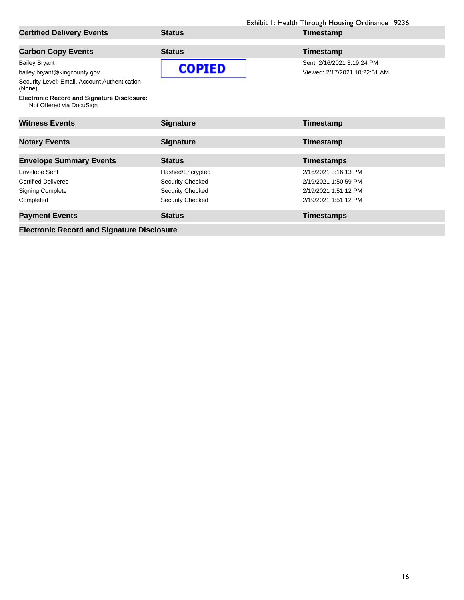|                                                                                |                         | Exhibit I: Health Through Housing Ordinance 19236 |
|--------------------------------------------------------------------------------|-------------------------|---------------------------------------------------|
| <b>Certified Delivery Events</b>                                               | <b>Status</b>           | Timestamp                                         |
| <b>Carbon Copy Events</b>                                                      | <b>Status</b>           | Timestamp                                         |
| <b>Bailey Bryant</b>                                                           |                         | Sent: 2/16/2021 3:19:24 PM                        |
| bailey.bryant@kingcounty.gov                                                   | <b>COPIED</b>           | Viewed: 2/17/2021 10:22:51 AM                     |
| Security Level: Email, Account Authentication<br>(None)                        |                         |                                                   |
| <b>Electronic Record and Signature Disclosure:</b><br>Not Offered via DocuSign |                         |                                                   |
| <b>Witness Events</b>                                                          | <b>Signature</b>        | Timestamp                                         |
| <b>Notary Events</b>                                                           | <b>Signature</b>        | Timestamp                                         |
| <b>Envelope Summary Events</b>                                                 | <b>Status</b>           | <b>Timestamps</b>                                 |
| Envelope Sent                                                                  | Hashed/Encrypted        | 2/16/2021 3:16:13 PM                              |
| <b>Certified Delivered</b>                                                     | <b>Security Checked</b> | 2/19/2021 1:50:59 PM                              |
| <b>Signing Complete</b>                                                        | Security Checked        | 2/19/2021 1:51:12 PM                              |
| Completed                                                                      | Security Checked        | 2/19/2021 1:51:12 PM                              |
| <b>Payment Events</b>                                                          | <b>Status</b>           | <b>Timestamps</b>                                 |
| <b>Electronic Record and Signature Disclosure</b>                              |                         |                                                   |
|                                                                                |                         |                                                   |
|                                                                                |                         |                                                   |
|                                                                                |                         |                                                   |
|                                                                                |                         |                                                   |
|                                                                                |                         |                                                   |
|                                                                                |                         |                                                   |
|                                                                                |                         |                                                   |
|                                                                                |                         |                                                   |
|                                                                                |                         |                                                   |
|                                                                                |                         |                                                   |
|                                                                                |                         |                                                   |
|                                                                                |                         |                                                   |
|                                                                                |                         |                                                   |
|                                                                                |                         |                                                   |
|                                                                                |                         |                                                   |
|                                                                                |                         |                                                   |
|                                                                                |                         |                                                   |
|                                                                                |                         |                                                   |
|                                                                                |                         |                                                   |
|                                                                                |                         |                                                   |
|                                                                                |                         |                                                   |
|                                                                                |                         |                                                   |
|                                                                                |                         |                                                   |
|                                                                                |                         |                                                   |
|                                                                                |                         |                                                   |
|                                                                                |                         |                                                   |
|                                                                                |                         |                                                   |
|                                                                                |                         |                                                   |
|                                                                                |                         |                                                   |
|                                                                                |                         |                                                   |
|                                                                                |                         |                                                   |
|                                                                                |                         |                                                   |
|                                                                                |                         |                                                   |
|                                                                                |                         | 16                                                |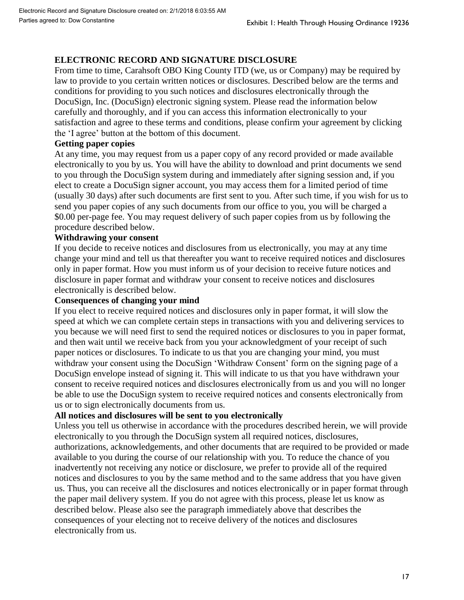# **ELECTRONIC RECORD AND SIGNATURE DISCLOSURE**

From time to time, Carahsoft OBO King County ITD (we, us or Company) may be required by law to provide to you certain written notices or disclosures. Described below are the terms and conditions for providing to you such notices and disclosures electronically through the DocuSign, Inc. (DocuSign) electronic signing system. Please read the information below carefully and thoroughly, and if you can access this information electronically to your satisfaction and agree to these terms and conditions, please confirm your agreement by clicking the 'I agree' button at the bottom of this document.

## **Getting paper copies**

At any time, you may request from us a paper copy of any record provided or made available electronically to you by us. You will have the ability to download and print documents we send to you through the DocuSign system during and immediately after signing session and, if you elect to create a DocuSign signer account, you may access them for a limited period of time (usually 30 days) after such documents are first sent to you. After such time, if you wish for us to send you paper copies of any such documents from our office to you, you will be charged a \$0.00 per-page fee. You may request delivery of such paper copies from us by following the procedure described below.

## **Withdrawing your consent**

If you decide to receive notices and disclosures from us electronically, you may at any time change your mind and tell us that thereafter you want to receive required notices and disclosures only in paper format. How you must inform us of your decision to receive future notices and disclosure in paper format and withdraw your consent to receive notices and disclosures electronically is described below.

## **Consequences of changing your mind**

If you elect to receive required notices and disclosures only in paper format, it will slow the speed at which we can complete certain steps in transactions with you and delivering services to you because we will need first to send the required notices or disclosures to you in paper format, and then wait until we receive back from you your acknowledgment of your receipt of such paper notices or disclosures. To indicate to us that you are changing your mind, you must withdraw your consent using the DocuSign 'Withdraw Consent' form on the signing page of a DocuSign envelope instead of signing it. This will indicate to us that you have withdrawn your consent to receive required notices and disclosures electronically from us and you will no longer be able to use the DocuSign system to receive required notices and consents electronically from us or to sign electronically documents from us.

## **All notices and disclosures will be sent to you electronically**

Unless you tell us otherwise in accordance with the procedures described herein, we will provide electronically to you through the DocuSign system all required notices, disclosures, authorizations, acknowledgements, and other documents that are required to be provided or made available to you during the course of our relationship with you. To reduce the chance of you inadvertently not receiving any notice or disclosure, we prefer to provide all of the required notices and disclosures to you by the same method and to the same address that you have given us. Thus, you can receive all the disclosures and notices electronically or in paper format through the paper mail delivery system. If you do not agree with this process, please let us know as described below. Please also see the paragraph immediately above that describes the consequences of your electing not to receive delivery of the notices and disclosures electronically from us. Exhibit 1: Health Through Housing Ordinance 19236<br>
SCCLOSURE<br>
SCCLOSURE<br>
(Vec, us or Company) may be required by<br>
(we, us or Company) may be required by<br>
(we, us or Company) may be required by<br>
Lengered the information hel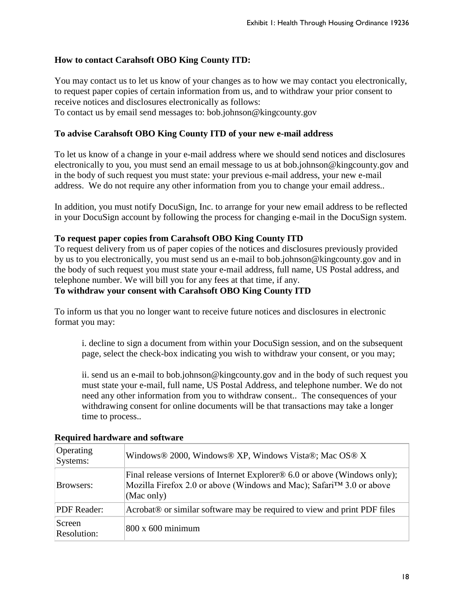# **How to contact Carahsoft OBO King County ITD:**

## **To advise Carahsoft OBO King County ITD of your new e-mail address**

## **To request paper copies from Carahsoft OBO King County ITD**

## **To withdraw your consent with Carahsoft OBO King County ITD**

|                              | Exhibit I: Health Through Housing Ordinance 19236                                                                                                                                                                                                                                                                                                                                                                                                                                                      |
|------------------------------|--------------------------------------------------------------------------------------------------------------------------------------------------------------------------------------------------------------------------------------------------------------------------------------------------------------------------------------------------------------------------------------------------------------------------------------------------------------------------------------------------------|
|                              | How to contact Carahsoft OBO King County ITD:                                                                                                                                                                                                                                                                                                                                                                                                                                                          |
|                              | You may contact us to let us know of your changes as to how we may contact you electronically,<br>to request paper copies of certain information from us, and to withdraw your prior consent to<br>receive notices and disclosures electronically as follows:<br>To contact us by email send messages to: bob.johnson@kingcounty.gov                                                                                                                                                                   |
|                              | To advise Carahsoft OBO King County ITD of your new e-mail address                                                                                                                                                                                                                                                                                                                                                                                                                                     |
|                              | To let us know of a change in your e-mail address where we should send notices and disclosures<br>electronically to you, you must send an email message to us at bob.johnson@kingcounty.gov and<br>in the body of such request you must state: your previous e-mail address, your new e-mail<br>address. We do not require any other information from you to change your email address                                                                                                                 |
|                              | In addition, you must notify DocuSign, Inc. to arrange for your new email address to be reflected<br>in your DocuSign account by following the process for changing e-mail in the DocuSign system.                                                                                                                                                                                                                                                                                                     |
|                              | To request paper copies from Carahsoft OBO King County ITD<br>To request delivery from us of paper copies of the notices and disclosures previously provided<br>by us to you electronically, you must send us an e-mail to bob.johnson@kingcounty.gov and in<br>the body of such request you must state your e-mail address, full name, US Postal address, and<br>telephone number. We will bill you for any fees at that time, if any.<br>To withdraw your consent with Carahsoft OBO King County ITD |
| format you may:              | To inform us that you no longer want to receive future notices and disclosures in electronic                                                                                                                                                                                                                                                                                                                                                                                                           |
|                              | i. decline to sign a document from within your DocuSign session, and on the subsequent<br>page, select the check-box indicating you wish to withdraw your consent, or you may;                                                                                                                                                                                                                                                                                                                         |
| time to process              | ii. send us an e-mail to bob.johnson@kingcounty.gov and in the body of such request you<br>must state your e-mail, full name, US Postal Address, and telephone number. We do not<br>need any other information from you to withdraw consent The consequences of your<br>withdrawing consent for online documents will be that transactions may take a longer                                                                                                                                           |
|                              | <b>Required hardware and software</b>                                                                                                                                                                                                                                                                                                                                                                                                                                                                  |
| Operating<br>Systems:        | Windows® 2000, Windows® XP, Windows Vista®; Mac OS® X                                                                                                                                                                                                                                                                                                                                                                                                                                                  |
| Browsers:                    | Final release versions of Internet Explorer <sup>®</sup> 6.0 or above (Windows only);<br>Mozilla Firefox 2.0 or above (Windows and Mac); Safari™ 3.0 or above<br>(Mac only)                                                                                                                                                                                                                                                                                                                            |
| PDF Reader:                  | Acrobat <sup>®</sup> or similar software may be required to view and print PDF files                                                                                                                                                                                                                                                                                                                                                                                                                   |
| Screen<br><b>Resolution:</b> | 800 x 600 minimum                                                                                                                                                                                                                                                                                                                                                                                                                                                                                      |
|                              | 18                                                                                                                                                                                                                                                                                                                                                                                                                                                                                                     |

## **Required hardware and software**